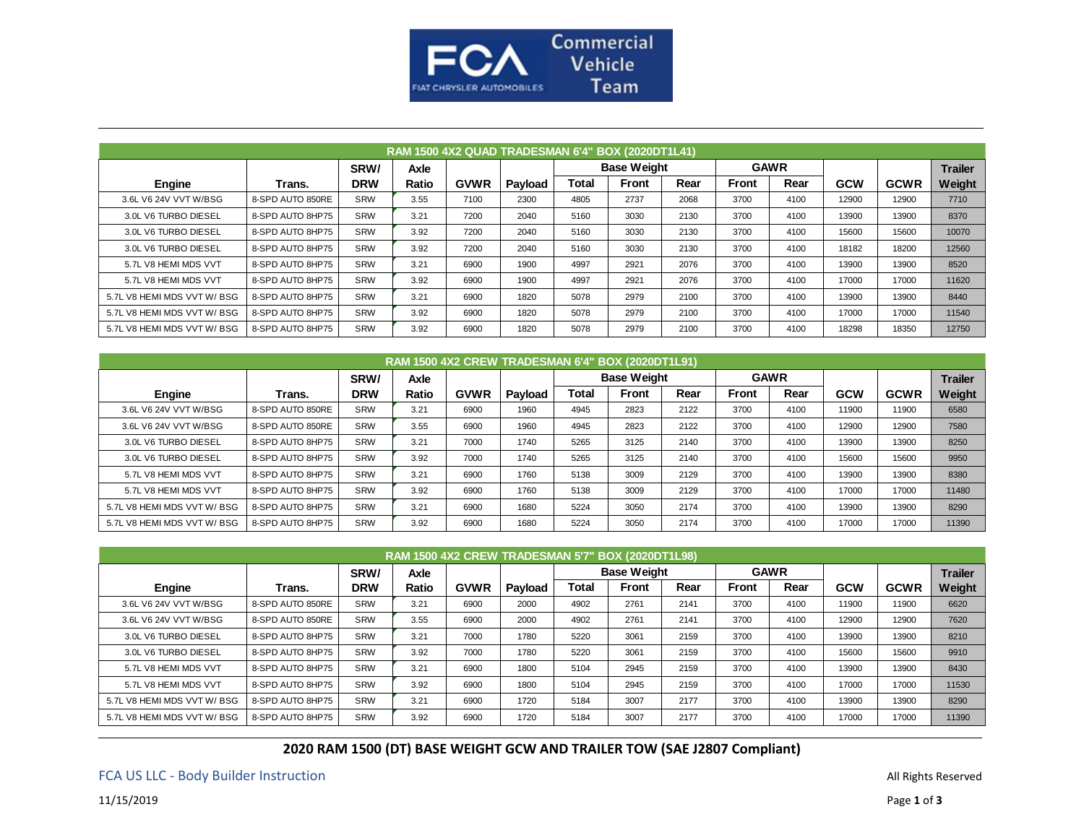

| RAM 1500 4X2 QUAD TRADESMAN 6'4" BOX (2020DT1L41) |                  |            |       |             |         |                    |              |      |              |      |            |             |                |
|---------------------------------------------------|------------------|------------|-------|-------------|---------|--------------------|--------------|------|--------------|------|------------|-------------|----------------|
|                                                   |                  | SRW/       | Axle  |             |         | <b>Base Weight</b> |              |      | <b>GAWR</b>  |      |            |             | <b>Trailer</b> |
| Engine                                            | Trans.           | <b>DRW</b> | Ratio | <b>GVWR</b> | Payload | Total              | <b>Front</b> | Rear | <b>Front</b> | Rear | <b>GCW</b> | <b>GCWR</b> | Weight         |
| 3.6L V6 24V VVT W/BSG                             | 8-SPD AUTO 850RE | <b>SRW</b> | 3.55  | 7100        | 2300    | 4805               | 2737         | 2068 | 3700         | 4100 | 12900      | 12900       | 7710           |
| 3.0L V6 TURBO DIESEL                              | 8-SPD AUTO 8HP75 | <b>SRW</b> | 3.21  | 7200        | 2040    | 5160               | 3030         | 2130 | 3700         | 4100 | 13900      | 13900       | 8370           |
| 3.0L V6 TURBO DIESEL                              | 8-SPD AUTO 8HP75 | <b>SRW</b> | 3.92  | 7200        | 2040    | 5160               | 3030         | 2130 | 3700         | 4100 | 15600      | 15600       | 10070          |
| 3.0L V6 TURBO DIESEL                              | 8-SPD AUTO 8HP75 | <b>SRW</b> | 3.92  | 7200        | 2040    | 5160               | 3030         | 2130 | 3700         | 4100 | 18182      | 18200       | 12560          |
| 5.7L V8 HEMI MDS VVT                              | 8-SPD AUTO 8HP75 | SRW        | 3.21  | 6900        | 1900    | 4997               | 2921         | 2076 | 3700         | 4100 | 13900      | 13900       | 8520           |
| 5.7L V8 HEMI MDS VVT                              | 8-SPD AUTO 8HP75 | <b>SRW</b> | 3.92  | 6900        | 1900    | 4997               | 2921         | 2076 | 3700         | 4100 | 17000      | 17000       | 11620          |
| 5.7L V8 HEMI MDS VVT W/BSG                        | 8-SPD AUTO 8HP75 | <b>SRW</b> | 3.21  | 6900        | 1820    | 5078               | 2979         | 2100 | 3700         | 4100 | 13900      | 13900       | 8440           |
| 5.7L V8 HEMI MDS VVT W/BSG                        | 8-SPD AUTO 8HP75 | SRW        | 3.92  | 6900        | 1820    | 5078               | 2979         | 2100 | 3700         | 4100 | 17000      | 17000       | 11540          |
| 5.7L V8 HEMI MDS VVT W/BSG                        | 8-SPD AUTO 8HP75 | SRW        | 3.92  | 6900        | 1820    | 5078               | 2979         | 2100 | 3700         | 4100 | 18298      | 18350       | 12750          |

| RAM 1500 4X2 CREW TRADESMAN 6'4" BOX (2020DT1L91) |                  |            |       |             |         |                    |              |             |              |      |            |                |        |
|---------------------------------------------------|------------------|------------|-------|-------------|---------|--------------------|--------------|-------------|--------------|------|------------|----------------|--------|
|                                                   |                  | SRW/       | Axle  |             |         | <b>Base Weight</b> |              | <b>GAWR</b> |              |      |            | <b>Trailer</b> |        |
| Engine                                            | Trans.           | <b>DRW</b> | Ratio | <b>GVWR</b> | Payload | Total              | <b>Front</b> | Rear        | <b>Front</b> | Rear | <b>GCW</b> | <b>GCWR</b>    | Weight |
| 3.6L V6 24V VVT W/BSG                             | 8-SPD AUTO 850RE | <b>SRW</b> | 3.21  | 6900        | 1960    | 4945               | 2823         | 2122        | 3700         | 4100 | 11900      | 11900          | 6580   |
| 3.6L V6 24V VVT W/BSG                             | 8-SPD AUTO 850RE | <b>SRW</b> | 3.55  | 6900        | 1960    | 4945               | 2823         | 2122        | 3700         | 4100 | 12900      | 12900          | 7580   |
| 3.0L V6 TURBO DIESEL                              | 8-SPD AUTO 8HP75 | <b>SRW</b> | 3.21  | 7000        | 1740    | 5265               | 3125         | 2140        | 3700         | 4100 | 13900      | 13900          | 8250   |
| 3.0L V6 TURBO DIESEL                              | 8-SPD AUTO 8HP75 | <b>SRW</b> | 3.92  | 7000        | 1740    | 5265               | 3125         | 2140        | 3700         | 4100 | 15600      | 15600          | 9950   |
| 5.7L V8 HEMI MDS VVT                              | 8-SPD AUTO 8HP75 | <b>SRW</b> | 3.21  | 6900        | 1760    | 5138               | 3009         | 2129        | 3700         | 4100 | 13900      | 13900          | 8380   |
| 5.7L V8 HEMI MDS VVT                              | 8-SPD AUTO 8HP75 | <b>SRW</b> | 3.92  | 6900        | 1760    | 5138               | 3009         | 2129        | 3700         | 4100 | 17000      | 17000          | 11480  |
| 5.7L V8 HEMI MDS VVT W/BSG                        | 8-SPD AUTO 8HP75 | <b>SRW</b> | 3.21  | 6900        | 1680    | 5224               | 3050         | 2174        | 3700         | 4100 | 13900      | 13900          | 8290   |
| 5.7L V8 HEMI MDS VVT W/BSG                        | 8-SPD AUTO 8HP75 | <b>SRW</b> | 3.92  | 6900        | 1680    | 5224               | 3050         | 2174        | 3700         | 4100 | 17000      | 17000          | 11390  |

| RAM 1500 4X2 CREW TRADESMAN 5'7" BOX (2020DT1L98) |                  |            |       |             |         |                    |              |      |             |      |            |             |                |
|---------------------------------------------------|------------------|------------|-------|-------------|---------|--------------------|--------------|------|-------------|------|------------|-------------|----------------|
|                                                   |                  | SRW/       | Axle  |             |         | <b>Base Weight</b> |              |      | <b>GAWR</b> |      |            |             | <b>Trailer</b> |
| <b>Engine</b>                                     | Trans.           | <b>DRW</b> | Ratio | <b>GVWR</b> | Payload | Total              | <b>Front</b> | Rear | Front       | Rear | <b>GCW</b> | <b>GCWR</b> | Weight         |
| 3.6L V6 24V VVT W/BSG                             | 8-SPD AUTO 850RE | <b>SRW</b> | 3.21  | 6900        | 2000    | 4902               | 2761         | 2141 | 3700        | 4100 | 11900      | 11900       | 6620           |
| 3.6L V6 24V VVT W/BSG                             | 8-SPD AUTO 850RE | <b>SRW</b> | 3.55  | 6900        | 2000    | 4902               | 2761         | 2141 | 3700        | 4100 | 12900      | 12900       | 7620           |
| 3.0L V6 TURBO DIESEL                              | 8-SPD AUTO 8HP75 | <b>SRW</b> | 3.21  | 7000        | 1780    | 5220               | 3061         | 2159 | 3700        | 4100 | 13900      | 13900       | 8210           |
| 3.0L V6 TURBO DIESEL                              | 8-SPD AUTO 8HP75 | <b>SRW</b> | 3.92  | 7000        | 1780    | 5220               | 3061         | 2159 | 3700        | 4100 | 15600      | 15600       | 9910           |
| 5.7L V8 HEMI MDS VVT                              | 8-SPD AUTO 8HP75 | <b>SRW</b> | 3.21  | 6900        | 1800    | 5104               | 2945         | 2159 | 3700        | 4100 | 13900      | 13900       | 8430           |
| 5.7L V8 HEMI MDS VVT                              | 8-SPD AUTO 8HP75 | SRW        | 3.92  | 6900        | 1800    | 5104               | 2945         | 2159 | 3700        | 4100 | 17000      | 17000       | 11530          |
| 5.7L V8 HEMI MDS VVT W/BSG                        | 8-SPD AUTO 8HP75 | <b>SRW</b> | 3.21  | 6900        | 1720    | 5184               | 3007         | 2177 | 3700        | 4100 | 13900      | 13900       | 8290           |
| 5.7L V8 HEMI MDS VVT W/BSG                        | 8-SPD AUTO 8HP75 | <b>SRW</b> | 3.92  | 6900        | 1720    | 5184               | 3007         | 2177 | 3700        | 4100 | 17000      | 17000       | 11390          |

**2020 RAM 1500 (DT) BASE WEIGHT GCW AND TRAILER TOW (SAE J2807 Compliant)**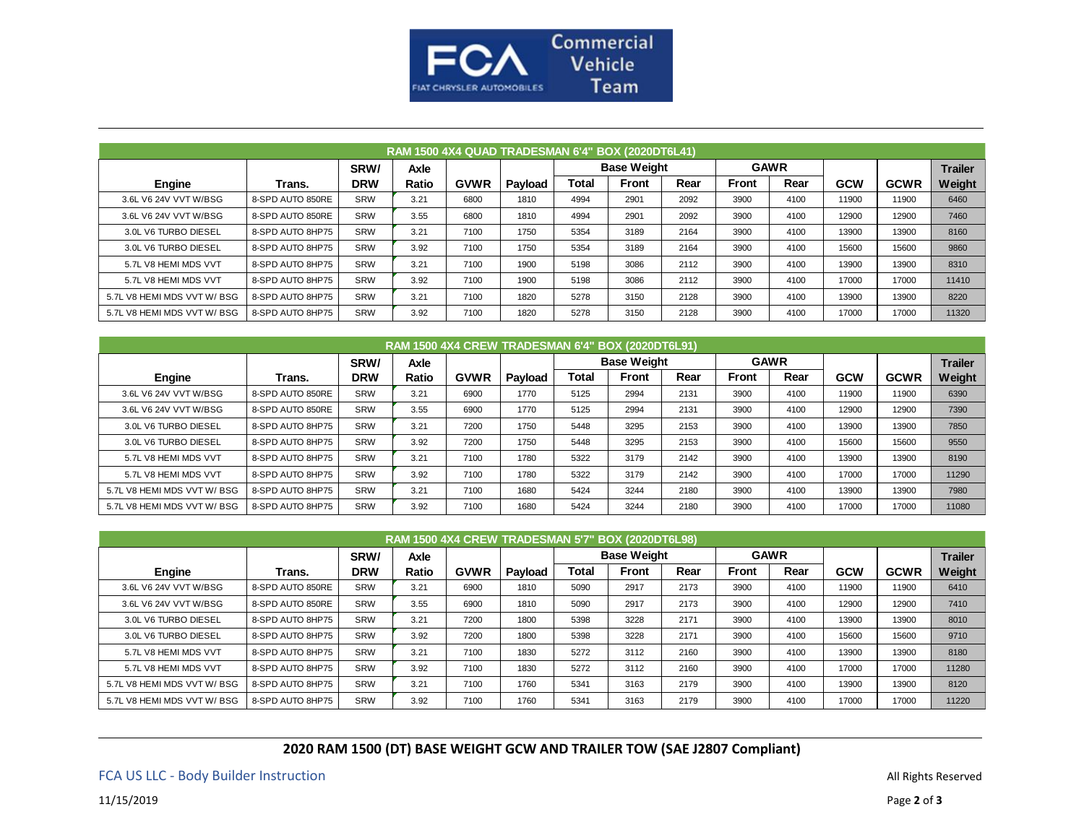

| RAM 1500 4X4 QUAD TRADESMAN 6'4" BOX (2020DT6L41) |                  |            |             |             |         |                    |              |      |              |      |            |             |                |
|---------------------------------------------------|------------------|------------|-------------|-------------|---------|--------------------|--------------|------|--------------|------|------------|-------------|----------------|
|                                                   |                  | SRW/       | <b>Axle</b> |             |         | <b>Base Weight</b> |              |      | <b>GAWR</b>  |      |            |             | <b>Trailer</b> |
| Engine                                            | Trans.           | <b>DRW</b> | Ratio       | <b>GVWR</b> | Payload | Total              | <b>Front</b> | Rear | <b>Front</b> | Rear | <b>GCW</b> | <b>GCWR</b> | Weight         |
| 3.6L V6 24V VVT W/BSG                             | 8-SPD AUTO 850RE | <b>SRW</b> | 3.21        | 6800        | 1810    | 4994               | 2901         | 2092 | 3900         | 4100 | 11900      | 11900       | 6460           |
| 3.6L V6 24V VVT W/BSG                             | 8-SPD AUTO 850RE | <b>SRW</b> | 3.55        | 6800        | 1810    | 4994               | 2901         | 2092 | 3900         | 4100 | 12900      | 12900       | 7460           |
| 3.0L V6 TURBO DIESEL                              | 8-SPD AUTO 8HP75 | SRW        | 3.21        | 7100        | 1750    | 5354               | 3189         | 2164 | 3900         | 4100 | 13900      | 13900       | 8160           |
| 3.0L V6 TURBO DIESEL                              | 8-SPD AUTO 8HP75 | <b>SRW</b> | 3.92        | 7100        | 1750    | 5354               | 3189         | 2164 | 3900         | 4100 | 15600      | 15600       | 9860           |
| 5.7L V8 HEMI MDS VVT                              | 8-SPD AUTO 8HP75 | <b>SRW</b> | 3.21        | 7100        | 1900    | 5198               | 3086         | 2112 | 3900         | 4100 | 13900      | 13900       | 8310           |
| 5.7L V8 HEMI MDS VVT                              | 8-SPD AUTO 8HP75 | SRW        | 3.92        | 7100        | 1900    | 5198               | 3086         | 2112 | 3900         | 4100 | 17000      | 17000       | 11410          |
| 5.7L V8 HEMI MDS VVT W/BSG                        | 8-SPD AUTO 8HP75 | SRW        | 3.21        | 7100        | 1820    | 5278               | 3150         | 2128 | 3900         | 4100 | 13900      | 13900       | 8220           |
| 5.7L V8 HEMI MDS VVT W/BSG                        | 8-SPD AUTO 8HP75 | <b>SRW</b> | 3.92        | 7100        | 1820    | 5278               | 3150         | 2128 | 3900         | 4100 | 17000      | 17000       | 11320          |

| RAM 1500 4X4 CREW TRADESMAN 6'4" BOX (2020DT6L91) |                  |            |             |             |         |                    |              |      |              |      |            |             |                |
|---------------------------------------------------|------------------|------------|-------------|-------------|---------|--------------------|--------------|------|--------------|------|------------|-------------|----------------|
|                                                   |                  | SRW/       | <b>Axle</b> |             |         | <b>Base Weight</b> |              |      | <b>GAWR</b>  |      |            |             | <b>Trailer</b> |
| Engine                                            | Trans.           | <b>DRW</b> | Ratio       | <b>GVWR</b> | Payload | Total              | <b>Front</b> | Rear | <b>Front</b> | Rear | <b>GCW</b> | <b>GCWR</b> | Weight         |
| 3.6L V6 24V VVT W/BSG                             | 8-SPD AUTO 850RE | <b>SRW</b> | 3.21        | 6900        | 1770    | 5125               | 2994         | 2131 | 3900         | 4100 | 11900      | 11900       | 6390           |
| 3.6L V6 24V VVT W/BSG                             | 8-SPD AUTO 850RE | SRW        | 3.55        | 6900        | 1770    | 5125               | 2994         | 2131 | 3900         | 4100 | 12900      | 12900       | 7390           |
| 3.0L V6 TURBO DIESEL                              | 8-SPD AUTO 8HP75 | SRW        | 3.21        | 7200        | 1750    | 5448               | 3295         | 2153 | 3900         | 4100 | 13900      | 13900       | 7850           |
| 3.0L V6 TURBO DIESEL                              | 8-SPD AUTO 8HP75 | SRW        | 3.92        | 7200        | 1750    | 5448               | 3295         | 2153 | 3900         | 4100 | 15600      | 15600       | 9550           |
| 5.7L V8 HEMI MDS VVT                              | 8-SPD AUTO 8HP75 | SRW        | 3.21        | 7100        | 1780    | 5322               | 3179         | 2142 | 3900         | 4100 | 13900      | 13900       | 8190           |
| 5.7L V8 HEMI MDS VVT                              | 8-SPD AUTO 8HP75 | SRW        | 3.92        | 7100        | 1780    | 5322               | 3179         | 2142 | 3900         | 4100 | 17000      | 17000       | 11290          |
| 5.7L V8 HEMI MDS VVT W/BSG                        | 8-SPD AUTO 8HP75 | SRW        | 3.21        | 7100        | 1680    | 5424               | 3244         | 2180 | 3900         | 4100 | 13900      | 13900       | 7980           |
| 5.7L V8 HEMI MDS VVT W/BSG                        | 8-SPD AUTO 8HP75 | SRW        | 3.92        | 7100        | 1680    | 5424               | 3244         | 2180 | 3900         | 4100 | 17000      | 17000       | 11080          |

| RAM 1500 4X4 CREW TRADESMAN 5'7" BOX (2020DT6L98) |                  |            |             |             |         |                    |              |      |              |             |            |             |                |
|---------------------------------------------------|------------------|------------|-------------|-------------|---------|--------------------|--------------|------|--------------|-------------|------------|-------------|----------------|
|                                                   |                  | SRW/       | <b>Axle</b> |             |         | <b>Base Weight</b> |              |      |              | <b>GAWR</b> |            |             | <b>Trailer</b> |
| Engine                                            | Trans.           | <b>DRW</b> | Ratio       | <b>GVWR</b> | Payload | Total              | <b>Front</b> | Rear | <b>Front</b> | Rear        | <b>GCW</b> | <b>GCWR</b> | Weight         |
| 3.6L V6 24V VVT W/BSG                             | 8-SPD AUTO 850RE | SRW        | 3.21        | 6900        | 1810    | 5090               | 2917         | 2173 | 3900         | 4100        | 11900      | 11900       | 6410           |
| 3.6L V6 24V VVT W/BSG                             | 8-SPD AUTO 850RE | SRW        | 3.55        | 6900        | 1810    | 5090               | 2917         | 2173 | 3900         | 4100        | 12900      | 12900       | 7410           |
| 3.0L V6 TURBO DIESEL                              | 8-SPD AUTO 8HP75 | SRW        | 3.21        | 7200        | 1800    | 5398               | 3228         | 2171 | 3900         | 4100        | 13900      | 13900       | 8010           |
| 3.0L V6 TURBO DIESEL                              | 8-SPD AUTO 8HP75 | SRW        | 3.92        | 7200        | 1800    | 5398               | 3228         | 2171 | 3900         | 4100        | 15600      | 15600       | 9710           |
| 5.7L V8 HEMI MDS VVT                              | 8-SPD AUTO 8HP75 | SRW        | 3.21        | 7100        | 1830    | 5272               | 3112         | 2160 | 3900         | 4100        | 13900      | 13900       | 8180           |
| 5.7L V8 HEMI MDS VVT                              | 8-SPD AUTO 8HP75 | SRW        | 3.92        | 7100        | 1830    | 5272               | 3112         | 2160 | 3900         | 4100        | 17000      | 17000       | 11280          |
| 5.7L V8 HEMI MDS VVT W/BSG                        | 8-SPD AUTO 8HP75 | SRW        | 3.21        | 7100        | 1760    | 5341               | 3163         | 2179 | 3900         | 4100        | 13900      | 13900       | 8120           |
| 5.7L V8 HEMI MDS VVT W/BSG                        | 8-SPD AUTO 8HP75 | SRW        | 3.92        | 7100        | 1760    | 5341               | 3163         | 2179 | 3900         | 4100        | 17000      | 17000       | 11220          |

**2020 RAM 1500 (DT) BASE WEIGHT GCW AND TRAILER TOW (SAE J2807 Compliant)**